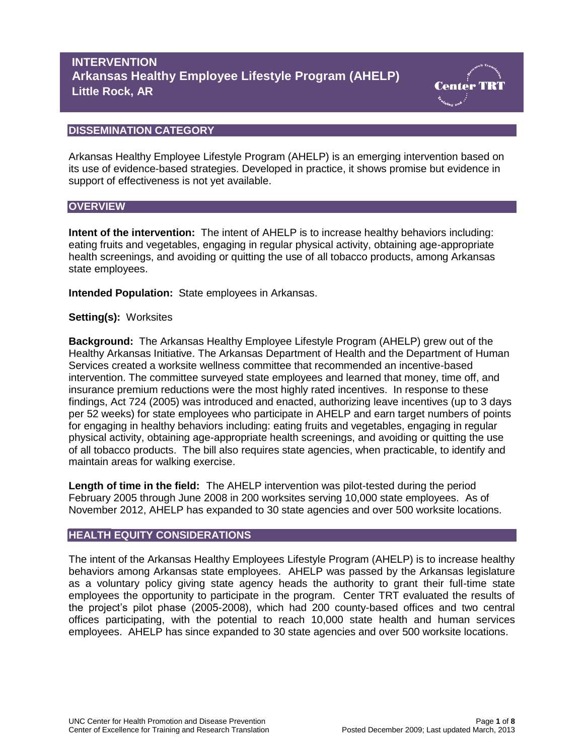# **INTERVENTION Arkansas Healthy Employee Lifestyle Program (AHELP) Little Rock, AR**



#### **DISSEMINATION CATEGORY**

Arkansas Healthy Employee Lifestyle Program (AHELP) is an emerging intervention based on its use of evidence-based strategies. Developed in practice, it shows promise but evidence in support of effectiveness is not yet available.

#### **OVERVIEW**

**Intent of the intervention:** The intent of AHELP is to increase healthy behaviors including: eating fruits and vegetables, engaging in regular physical activity, obtaining age-appropriate health screenings, and avoiding or quitting the use of all tobacco products, among Arkansas state employees.

**Intended Population:** State employees in Arkansas.

### **Setting(s):** Worksites

**Background:** The Arkansas Healthy Employee Lifestyle Program (AHELP) grew out of the Healthy Arkansas Initiative. The Arkansas Department of Health and the Department of Human Services created a worksite wellness committee that recommended an incentive-based intervention. The committee surveyed state employees and learned that money, time off, and insurance premium reductions were the most highly rated incentives. In response to these findings, Act 724 (2005) was introduced and enacted, authorizing leave incentives (up to 3 days per 52 weeks) for state employees who participate in AHELP and earn target numbers of points for engaging in healthy behaviors including: eating fruits and vegetables, engaging in regular physical activity, obtaining age-appropriate health screenings, and avoiding or quitting the use of all tobacco products. The bill also requires state agencies, when practicable, to identify and maintain areas for walking exercise.

**Length of time in the field:** The AHELP intervention was pilot-tested during the period February 2005 through June 2008 in 200 worksites serving 10,000 state employees. As of November 2012, AHELP has expanded to 30 state agencies and over 500 worksite locations.

#### **HEALTH EQUITY CONSIDERATIONS**

The intent of the Arkansas Healthy Employees Lifestyle Program (AHELP) is to increase healthy behaviors among Arkansas state employees. AHELP was passed by the Arkansas legislature as a voluntary policy giving state agency heads the authority to grant their full-time state employees the opportunity to participate in the program. Center TRT evaluated the results of the project's pilot phase (2005-2008), which had 200 county-based offices and two central offices participating, with the potential to reach 10,000 state health and human services employees. AHELP has since expanded to 30 state agencies and over 500 worksite locations.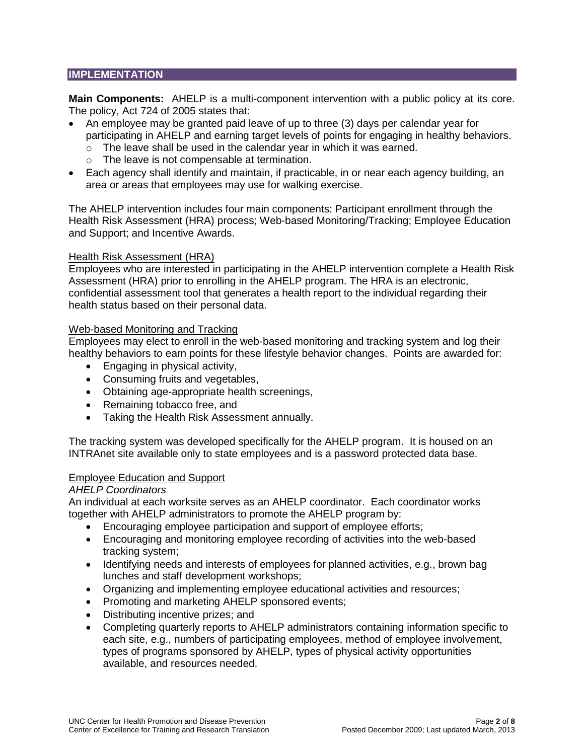## **IMPLEMENTATION**

**Main Components:** AHELP is a multi-component intervention with a public policy at its core. The policy, Act 724 of 2005 states that:

- An employee may be granted paid leave of up to three (3) days per calendar year for participating in AHELP and earning target levels of points for engaging in healthy behaviors.
	- o The leave shall be used in the calendar year in which it was earned.
	- o The leave is not compensable at termination.
- Each agency shall identify and maintain, if practicable, in or near each agency building, an area or areas that employees may use for walking exercise.

The AHELP intervention includes four main components: Participant enrollment through the Health Risk Assessment (HRA) process; Web-based Monitoring/Tracking; Employee Education and Support; and Incentive Awards.

### Health Risk Assessment (HRA)

Employees who are interested in participating in the AHELP intervention complete a Health Risk Assessment (HRA) prior to enrolling in the AHELP program. The HRA is an electronic, confidential assessment tool that generates a health report to the individual regarding their health status based on their personal data.

### Web-based Monitoring and Tracking

Employees may elect to enroll in the web-based monitoring and tracking system and log their healthy behaviors to earn points for these lifestyle behavior changes. Points are awarded for:

- Engaging in physical activity,
- Consuming fruits and vegetables,
- Obtaining age-appropriate health screenings,
- Remaining tobacco free, and
- Taking the Health Risk Assessment annually.

The tracking system was developed specifically for the AHELP program. It is housed on an INTRAnet site available only to state employees and is a password protected data base.

#### Employee Education and Support

#### *AHELP Coordinators*

An individual at each worksite serves as an AHELP coordinator. Each coordinator works together with AHELP administrators to promote the AHELP program by:

- Encouraging employee participation and support of employee efforts;
- Encouraging and monitoring employee recording of activities into the web-based tracking system;
- Identifying needs and interests of employees for planned activities, e.g., brown bag lunches and staff development workshops;
- Organizing and implementing employee educational activities and resources;
- Promoting and marketing AHELP sponsored events;
- Distributing incentive prizes; and
- Completing quarterly reports to AHELP administrators containing information specific to each site, e.g., numbers of participating employees, method of employee involvement, types of programs sponsored by AHELP, types of physical activity opportunities available, and resources needed.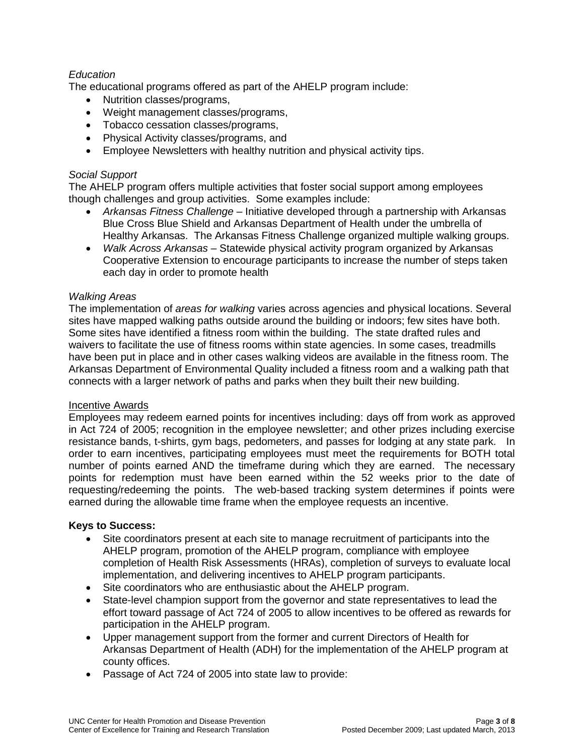## *Education*

The educational programs offered as part of the AHELP program include:

- Nutrition classes/programs,
- Weight management classes/programs,
- Tobacco cessation classes/programs,
- Physical Activity classes/programs, and
- Employee Newsletters with healthy nutrition and physical activity tips.

### *Social Support*

The AHELP program offers multiple activities that foster social support among employees though challenges and group activities. Some examples include:

- *Arkansas Fitness Challenge* Initiative developed through a partnership with Arkansas Blue Cross Blue Shield and Arkansas Department of Health under the umbrella of Healthy Arkansas. The Arkansas Fitness Challenge organized multiple walking groups.
- *Walk Across Arkansas* Statewide physical activity program organized by Arkansas Cooperative Extension to encourage participants to increase the number of steps taken each day in order to promote health

### *Walking Areas*

The implementation of *areas for walking* varies across agencies and physical locations. Several sites have mapped walking paths outside around the building or indoors; few sites have both. Some sites have identified a fitness room within the building. The state drafted rules and waivers to facilitate the use of fitness rooms within state agencies. In some cases, treadmills have been put in place and in other cases walking videos are available in the fitness room. The Arkansas Department of Environmental Quality included a fitness room and a walking path that connects with a larger network of paths and parks when they built their new building.

#### Incentive Awards

Employees may redeem earned points for incentives including: days off from work as approved in Act 724 of 2005; recognition in the employee newsletter; and other prizes including exercise resistance bands, t-shirts, gym bags, pedometers, and passes for lodging at any state park. In order to earn incentives, participating employees must meet the requirements for BOTH total number of points earned AND the timeframe during which they are earned. The necessary points for redemption must have been earned within the 52 weeks prior to the date of requesting/redeeming the points. The web-based tracking system determines if points were earned during the allowable time frame when the employee requests an incentive.

#### **Keys to Success:**

- Site coordinators present at each site to manage recruitment of participants into the AHELP program, promotion of the AHELP program, compliance with employee completion of Health Risk Assessments (HRAs), completion of surveys to evaluate local implementation, and delivering incentives to AHELP program participants.
- Site coordinators who are enthusiastic about the AHELP program.
- State-level champion support from the governor and state representatives to lead the effort toward passage of Act 724 of 2005 to allow incentives to be offered as rewards for participation in the AHELP program.
- Upper management support from the former and current Directors of Health for Arkansas Department of Health (ADH) for the implementation of the AHELP program at county offices.
- Passage of Act 724 of 2005 into state law to provide: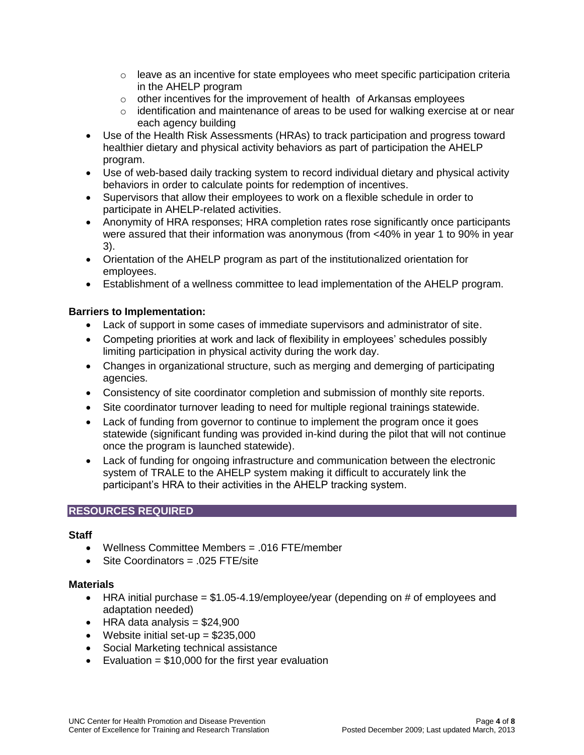- $\circ$  leave as an incentive for state employees who meet specific participation criteria in the AHELP program
- o other incentives for the improvement of health of Arkansas employees
- $\circ$  identification and maintenance of areas to be used for walking exercise at or near each agency building
- Use of the Health Risk Assessments (HRAs) to track participation and progress toward healthier dietary and physical activity behaviors as part of participation the AHELP program.
- Use of web-based daily tracking system to record individual dietary and physical activity behaviors in order to calculate points for redemption of incentives.
- Supervisors that allow their employees to work on a flexible schedule in order to participate in AHELP-related activities.
- Anonymity of HRA responses; HRA completion rates rose significantly once participants were assured that their information was anonymous (from <40% in year 1 to 90% in year 3).
- Orientation of the AHELP program as part of the institutionalized orientation for employees.
- Establishment of a wellness committee to lead implementation of the AHELP program.

## **Barriers to Implementation:**

- Lack of support in some cases of immediate supervisors and administrator of site.
- Competing priorities at work and lack of flexibility in employees' schedules possibly limiting participation in physical activity during the work day.
- Changes in organizational structure, such as merging and demerging of participating agencies.
- Consistency of site coordinator completion and submission of monthly site reports.
- Site coordinator turnover leading to need for multiple regional trainings statewide.
- Lack of funding from governor to continue to implement the program once it goes statewide (significant funding was provided in-kind during the pilot that will not continue once the program is launched statewide).
- Lack of funding for ongoing infrastructure and communication between the electronic system of TRALE to the AHELP system making it difficult to accurately link the participant's HRA to their activities in the AHELP tracking system.

### **RESOURCES REQUIRED**

### **Staff**

- Wellness Committee Members = .016 FTE/member
- Site Coordinators = .025 FTE/site

#### **Materials**

- $\bullet$  HRA initial purchase = \$1.05-4.19/employee/year (depending on # of employees and adaptation needed)
- $\bullet$  HRA data analysis = \$24,900
- Website initial set-up =  $$235,000$
- Social Marketing technical assistance
- Evaluation =  $$10,000$  for the first year evaluation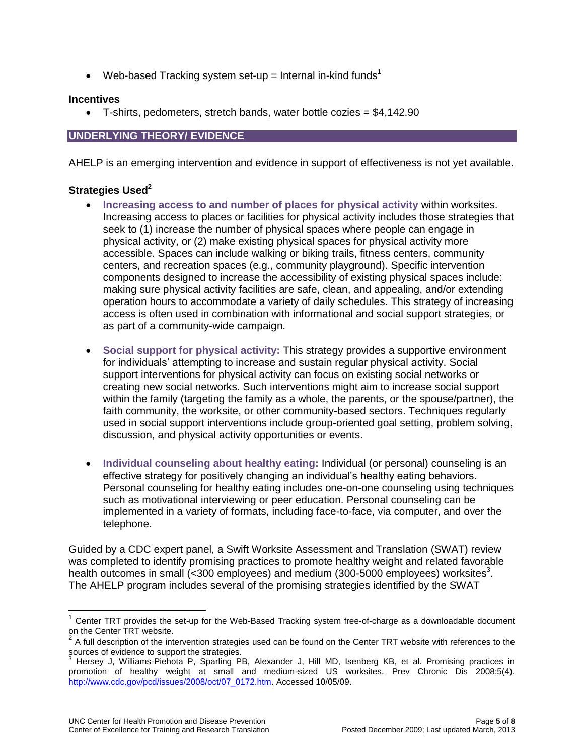• Web-based Tracking system set-up = Internal in-kind funds<sup>1</sup>

### **Incentives**

 $\bullet$  T-shirts, pedometers, stretch bands, water bottle cozies  $=$  \$4,142.90

## **UNDERLYING THEORY/ EVIDENCE**

AHELP is an emerging intervention and evidence in support of effectiveness is not yet available.

### **Strategies Used<sup>2</sup>**

- **[Increasing access to and number of places for physical activity](http://www.centertrt.org/?p=strategy&id=1122)** within worksites. Increasing access to places or facilities for physical activity includes those strategies that seek to (1) increase the number of physical spaces where people can engage in physical activity, or (2) make existing physical spaces for physical activity more accessible. Spaces can include walking or biking trails, fitness centers, community centers, and recreation spaces (e.g., community playground). Specific intervention components designed to increase the accessibility of existing physical spaces include: making sure physical activity facilities are safe, clean, and appealing, and/or extending operation hours to accommodate a variety of daily schedules. This strategy of increasing access is often used in combination with informational and social support strategies, or as part of a community-wide campaign.
- **[Social support for physical activity:](http://www.centertrt.org/?p=strategy&id=1133)** This strategy provides a supportive environment for individuals' attempting to increase and sustain regular physical activity. Social support interventions for physical activity can focus on existing social networks or creating new social networks. Such interventions might aim to increase social support within the family (targeting the family as a whole, the parents, or the spouse/partner), the faith community, the worksite, or other community-based sectors. Techniques regularly used in social support interventions include group-oriented goal setting, problem solving, discussion, and physical activity opportunities or events.
- **[Individual counseling about healthy eating:](http://www.centertrt.org/?p=strategy&id=1139)** Individual (or personal) counseling is an effective strategy for positively changing an individual's healthy eating behaviors. Personal counseling for healthy eating includes one-on-one counseling using techniques such as motivational interviewing or peer education. Personal counseling can be implemented in a variety of formats, including face-to-face, via computer, and over the telephone.

Guided by a CDC expert panel, a Swift Worksite Assessment and Translation (SWAT) review was completed to identify promising practices to promote healthy weight and related favorable health outcomes in small (<300 employees) and medium (300-5000 employees) worksites<sup>3</sup>. The AHELP program includes several of the promising strategies identified by the SWAT

<sup>&</sup>lt;u>ness</u><br><sup>1</sup> Center TRT provides the set-up for the Web-Based Tracking system free-of-charge as a downloadable document on the Center TRT website.<br>2. A full description of the int

A full description of the intervention strategies used can be found on the Center TRT website with references to the sources of evidence to support the strategies.

<sup>&</sup>lt;sup>3</sup> Hersey J, Williams-Piehota P, Sparling PB, Alexander J, Hill MD, Isenberg KB, et al. Promising practices in promotion of healthy weight at small and medium-sized US worksites. Prev Chronic Dis 2008;5(4). [http://www.cdc.gov/pcd/issues/2008/oct/07\\_0172.htm.](http://www.cdc.gov/pcd/issues/2008/oct/07_0172.htm) Accessed 10/05/09.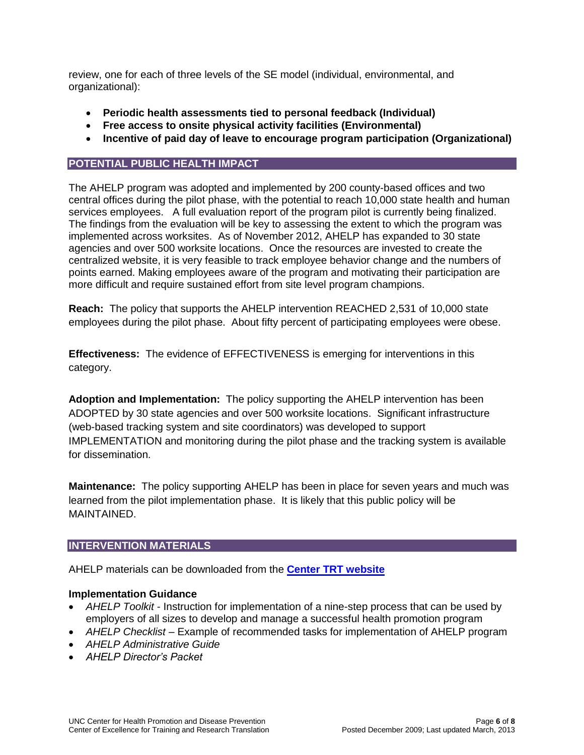review, one for each of three levels of the SE model (individual, environmental, and organizational):

- **Periodic health assessments tied to personal feedback (Individual)**
- **Free access to onsite physical activity facilities (Environmental)**
- **Incentive of paid day of leave to encourage program participation (Organizational)**

## **POTENTIAL PUBLIC HEALTH IMPACT**

The AHELP program was adopted and implemented by 200 county-based offices and two central offices during the pilot phase, with the potential to reach 10,000 state health and human services employees. A full evaluation report of the program pilot is currently being finalized. The findings from the evaluation will be key to assessing the extent to which the program was implemented across worksites. As of November 2012, AHELP has expanded to 30 state agencies and over 500 worksite locations. Once the resources are invested to create the centralized website, it is very feasible to track employee behavior change and the numbers of points earned. Making employees aware of the program and motivating their participation are more difficult and require sustained effort from site level program champions.

**Reach:** The policy that supports the AHELP intervention REACHED 2,531 of 10,000 state employees during the pilot phase. About fifty percent of participating employees were obese.

**Effectiveness:** The evidence of EFFECTIVENESS is emerging for interventions in this category.

**Adoption and Implementation:** The policy supporting the AHELP intervention has been ADOPTED by 30 state agencies and over 500 worksite locations. Significant infrastructure (web-based tracking system and site coordinators) was developed to support IMPLEMENTATION and monitoring during the pilot phase and the tracking system is available for dissemination.

**Maintenance:** The policy supporting AHELP has been in place for seven years and much was learned from the pilot implementation phase. It is likely that this public policy will be MAINTAINED.

## **INTERVENTION MATERIALS**

AHELP materials can be downloaded from the **[Center TRT website](http://www.centertrt.org/?p=intervention&id=1106§ion=12)**

### **Implementation Guidance**

- *AHELP Toolkit* Instruction for implementation of a nine-step process that can be used by employers of all sizes to develop and manage a successful health promotion program
- *AHELP Checklist* Example of recommended tasks for implementation of AHELP program
- *AHELP Administrative Guide*
- *AHELP Director's Packet*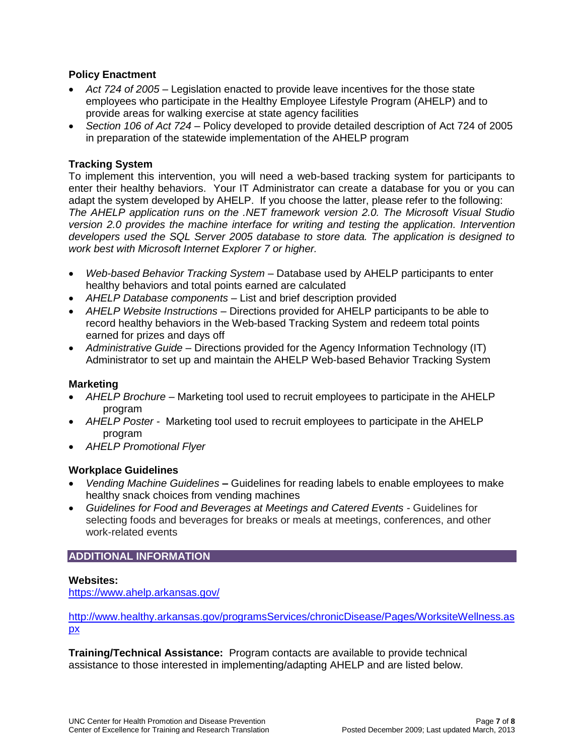## **Policy Enactment**

- *Act 724 of 2005* Legislation enacted to provide leave incentives for the those state employees who participate in the Healthy Employee Lifestyle Program (AHELP) and to provide areas for walking exercise at state agency facilities
- *Section 106 of Act 724* Policy developed to provide detailed description of Act 724 of 2005 in preparation of the statewide implementation of the AHELP program

## **Tracking System**

To implement this intervention, you will need a web-based tracking system for participants to enter their healthy behaviors. Your IT Administrator can create a database for you or you can adapt the system developed by AHELP. If you choose the latter, please refer to the following: *The AHELP application runs on the .NET framework version 2.0. The Microsoft Visual Studio version 2.0 provides the machine interface for writing and testing the application. Intervention developers used the SQL Server 2005 database to store data. The application is designed to work best with Microsoft Internet Explorer 7 or higher.*

- *Web-based Behavior Tracking System* Database used by AHELP participants to enter healthy behaviors and total points earned are calculated
- *AHELP Database components*  List and brief description provided
- *AHELP Website Instructions* Directions provided for AHELP participants to be able to record healthy behaviors in the Web-based Tracking System and redeem total points earned for prizes and days off
- *Administrative Guide* Directions provided for the Agency Information Technology (IT) Administrator to set up and maintain the AHELP Web-based Behavior Tracking System

### **Marketing**

- AHELP Brochure Marketing tool used to recruit employees to participate in the AHELP program
- *AHELP Poster -* Marketing tool used to recruit employees to participate in the AHELP program
- *AHELP Promotional Flyer*

### **Workplace Guidelines**

- *Vending Machine Guidelines* **–** Guidelines for reading labels to enable employees to make healthy snack choices from vending machines
- *Guidelines for Food and Beverages at Meetings and Catered Events -* Guidelines for selecting foods and beverages for breaks or meals at meetings, conferences, and other work-related events

## **ADDITIONAL INFORMATION**

### **Websites:**

<https://www.ahelp.arkansas.gov/>

[http://www.healthy.arkansas.gov/programsServices/chronicDisease/Pages/WorksiteWellness.as](http://www.healthy.arkansas.gov/programsServices/chronicDisease/Pages/WorksiteWellness.aspx) [px](http://www.healthy.arkansas.gov/programsServices/chronicDisease/Pages/WorksiteWellness.aspx)

**Training/Technical Assistance:** Program contacts are available to provide technical assistance to those interested in implementing/adapting AHELP and are listed below.